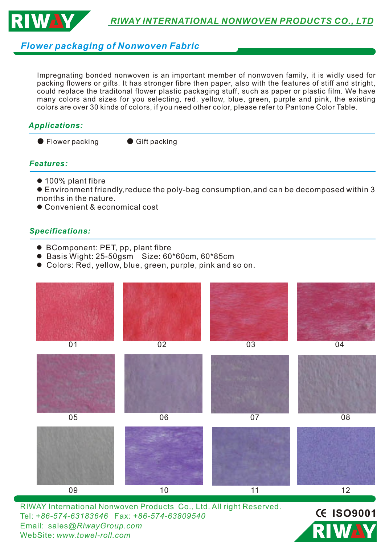

## *Flower packaging of Nonwoven Fabric*

Impregnating bonded nonwoven is an important member of nonwoven family, it is widly used for packing flowers or gifts. It has stronger fibre then paper, also with the features of stiff and stright, could replace the traditonal flower plastic packaging stuff, such as paper or plastic film. We have many colors and sizes for you selecting, red, yellow, blue, green, purple and pink, the existing colors are over 30 kinds of colors, if you need other color, please refer to Pantone Color Table.

### *Applications:*

● Flower packing ● Gift packing

### *Features:*

 $\bullet$  100% plant fibre

**Environment friendly, reduce the poly-bag consumption, and can be decomposed within 3** months in the nature.

● Convenient & economical cost

#### *Specifications:*

- BComponent: PET, pp, plant fibre
- l Basis Wight: 25-50gsm Size: 60\*60cm, 60\*85cm
- Colors: Red, yellow, blue, green, purple, pink and so on.



RI

Tel: *+86-574-63183646* Fax: *+86-574-63809540*  Email: sales*@RiwayGroup.com*

WebSite: *www.towel-roll.com*